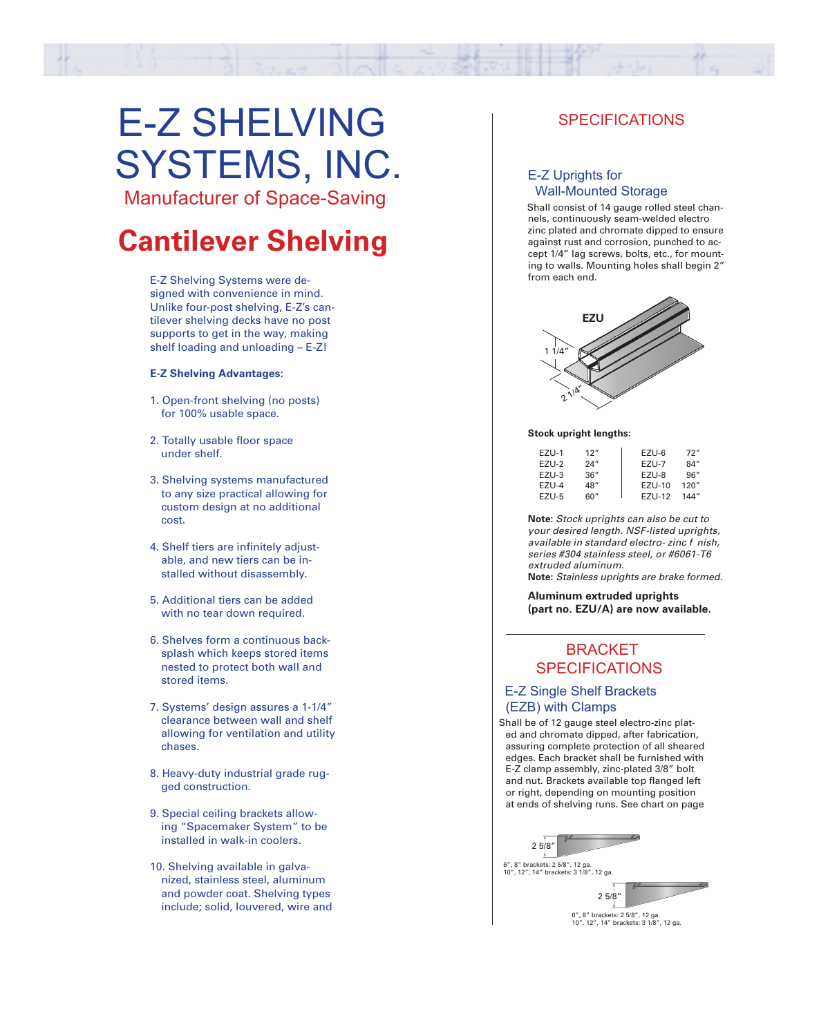# E-Z SHELVING SYSTEMS, INC.

Manufacturer of Space-Saving

# **Cantilever Shelving**

E-Z Shelving Systems were designed with convenience in mind. Unlike four-post shelving, E-Z's cantilever shelving decks have no post supports to get in the way, making shelf loading and unloading – E-Z!

#### **E-Z Shelving Advantages:**

- 1. Open-front shelving (no posts) for 100% usable space.
- 2. Totally usable floor space under shelf.
- 3. Shelving systems manufactured to any size practical allowing for custom design at no additional cost.
- 4. Shelf tiers are infinitely adjustable, and new tiers can be installed without disassembly.
- 5. Additional tiers can be added with no tear down required.
- 6. Shelves form a continuous backsplash which keeps stored items nested to protect both wall and stored items.
- 7. Systems' design assures a 1-1/4" clearance between wall and shelf allowing for ventilation and utility chases.
- 8. Heavy-duty industrial grade rugged construction.
- 9. Special ceiling brackets allowing "Spacemaker System" to be installed in walk-in coolers.
- 10. Shelving available in galvanized, stainless steel, aluminum and powder coat. Shelving types include; solid, louvered, wire and

# **SPECIFICATIONS**

## E-Z Uprights for Wall-Mounted Storage

Shall consist of 14 gauge rolled steel channels, continuously seam-welded electro zinc plated and chromate dipped to ensure against rust and corrosion, punched to accept 1/4" lag screws, bolts, etc., for mounting to walls. Mounting holes shall begin 2" from each end.



#### **Stock upright lengths:**

| EZU-1 | 12"  | EZU-6  | 72"   |
|-------|------|--------|-------|
| F7U-2 | 24'' | F7U-7  | 84"   |
| F7U-3 | 36"  | EZU-8  | 96''  |
| F7U-4 | 48"  | F7U-10 | 120"  |
| F7U-5 | 60"  | F7U-12 | 144'' |

**Note:** *Stock uprights can also be cut to your desired length. NSF-listed uprights, available in standard electro- zinc f nish, series #304 stainless steel, or #6061-T6 extruded aluminum.*

**Note:** *Stainless uprights are brake formed.* 

**Aluminum extruded uprights (part no. EZU/A) are now available.**

# **BRACKET SPECIFICATIONS**

### E-Z Single Shelf Brackets (EZB) with Clamps

Shall be of 12 gauge steel electro-zinc plated and chromate dipped, after fabrication, assuring complete protection of all sheared edges. Each bracket shall be furnished with E-Z clamp assembly, zinc-plated 3/8" bolt and nut. Brackets available top flanged left or right, depending on mounting position at ends of shelving runs. See chart on page